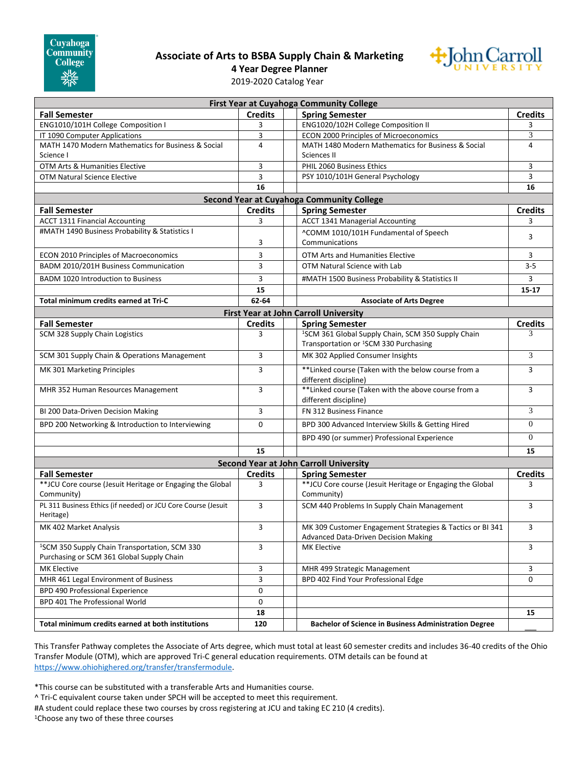## **Associate of Arts to BSBA Supply Chain & Marketing**



**4 Year Degree Planner**

2019-2020 Catalog Year

| <b>First Year at Cuyahoga Community College</b>               |                |  |                                                                                                                     |                |
|---------------------------------------------------------------|----------------|--|---------------------------------------------------------------------------------------------------------------------|----------------|
| <b>Fall Semester</b>                                          | <b>Credits</b> |  | <b>Spring Semester</b>                                                                                              | <b>Credits</b> |
| ENG1010/101H College Composition I                            | 3              |  | ENG1020/102H College Composition II                                                                                 | 3              |
| IT 1090 Computer Applications                                 | 3              |  | ECON 2000 Principles of Microeconomics                                                                              | 3              |
| MATH 1470 Modern Mathematics for Business & Social            | $\overline{4}$ |  | MATH 1480 Modern Mathematics for Business & Social                                                                  | 4              |
| Science I                                                     |                |  | Sciences II                                                                                                         |                |
| OTM Arts & Humanities Elective                                | 3              |  | PHIL 2060 Business Ethics                                                                                           | 3              |
| <b>OTM Natural Science Elective</b>                           | 3              |  | PSY 1010/101H General Psychology                                                                                    | 3              |
|                                                               | 16             |  |                                                                                                                     | 16             |
| Second Year at Cuyahoga Community College                     |                |  |                                                                                                                     |                |
|                                                               |                |  |                                                                                                                     | <b>Credits</b> |
| <b>Fall Semester</b>                                          | <b>Credits</b> |  | <b>Spring Semester</b>                                                                                              |                |
| <b>ACCT 1311 Financial Accounting</b>                         | 3              |  | <b>ACCT 1341 Managerial Accounting</b>                                                                              | 3              |
| #MATH 1490 Business Probability & Statistics I                |                |  | ^COMM 1010/101H Fundamental of Speech                                                                               | 3              |
|                                                               | 3              |  | Communications                                                                                                      |                |
| ECON 2010 Principles of Macroeconomics                        | 3              |  | OTM Arts and Humanities Elective                                                                                    | 3              |
| BADM 2010/201H Business Communication                         | 3              |  | OTM Natural Science with Lab                                                                                        | $3 - 5$        |
| <b>BADM 1020 Introduction to Business</b>                     | 3              |  | #MATH 1500 Business Probability & Statistics II                                                                     | 3              |
|                                                               | 15             |  |                                                                                                                     | $15 - 17$      |
| Total minimum credits earned at Tri-C                         | 62-64          |  | <b>Associate of Arts Degree</b>                                                                                     |                |
|                                                               |                |  |                                                                                                                     |                |
|                                                               |                |  | <b>First Year at John Carroll University</b>                                                                        |                |
| <b>Fall Semester</b>                                          | <b>Credits</b> |  | <b>Spring Semester</b>                                                                                              | <b>Credits</b> |
| SCM 328 Supply Chain Logistics                                | 3              |  | <sup>1</sup> SCM 361 Global Supply Chain, SCM 350 Supply Chain<br>Transportation or <sup>1</sup> SCM 330 Purchasing | 3              |
| SCM 301 Supply Chain & Operations Management                  | 3              |  | MK 302 Applied Consumer Insights                                                                                    | 3              |
| MK 301 Marketing Principles                                   | 3              |  | **Linked course (Taken with the below course from a<br>different discipline)                                        | 3              |
| MHR 352 Human Resources Management                            | 3              |  | ** Linked course (Taken with the above course from a                                                                | 3              |
| BI 200 Data-Driven Decision Making                            | 3              |  | different discipline)<br>FN 312 Business Finance                                                                    | 3              |
| BPD 200 Networking & Introduction to Interviewing             | 0              |  | BPD 300 Advanced Interview Skills & Getting Hired                                                                   | $\mathbf{0}$   |
|                                                               |                |  | BPD 490 (or summer) Professional Experience                                                                         | $\overline{0}$ |
|                                                               | 15             |  |                                                                                                                     | 15             |
| <b>Second Year at John Carroll University</b>                 |                |  |                                                                                                                     |                |
| <b>Fall Semester</b>                                          | <b>Credits</b> |  | <b>Spring Semester</b>                                                                                              | <b>Credits</b> |
| ** JCU Core course (Jesuit Heritage or Engaging the Global    | 3              |  | ** JCU Core course (Jesuit Heritage or Engaging the Global                                                          | 3              |
| Community)                                                    |                |  | Community)                                                                                                          |                |
| PL 311 Business Ethics (if needed) or JCU Core Course (Jesuit | 3              |  |                                                                                                                     |                |
| Heritage)                                                     |                |  | SCM 440 Problems In Supply Chain Management                                                                         | 3              |
| MK 402 Market Analysis                                        | 3              |  | MK 309 Customer Engagement Strategies & Tactics or BI 341<br>Advanced Data-Driven Decision Making                   | 3              |
| <sup>1</sup> SCM 350 Supply Chain Transportation, SCM 330     | 3              |  | <b>MK Elective</b>                                                                                                  | 3              |
| Purchasing or SCM 361 Global Supply Chain                     |                |  |                                                                                                                     |                |
| MK Elective                                                   | 3              |  | MHR 499 Strategic Management                                                                                        | 3              |
| MHR 461 Legal Environment of Business                         | 3              |  | BPD 402 Find Your Professional Edge                                                                                 | 0              |
| <b>BPD 490 Professional Experience</b>                        | 0              |  |                                                                                                                     |                |
| BPD 401 The Professional World                                | 0              |  |                                                                                                                     |                |
|                                                               | 18             |  |                                                                                                                     | 15             |
| Total minimum credits earned at both institutions             | 120            |  | <b>Bachelor of Science in Business Administration Degree</b>                                                        |                |
|                                                               |                |  |                                                                                                                     |                |

This Transfer Pathway completes the Associate of Arts degree, which must total at least 60 semester credits and includes 36-40 credits of the Ohio Transfer Module (OTM), which are approved Tri-C general education requirements. OTM details can be found at [https://www.ohiohighered.org/transfer/transfermodule.](https://www.ohiohighered.org/transfer/transfermodule)

\*This course can be substituted with a transferable Arts and Humanities course.

^ Tri-C equivalent course taken under SPCH will be accepted to meet this requirement.

#A student could replace these two courses by cross registering at JCU and taking EC 210 (4 credits).

1Choose any two of these three courses